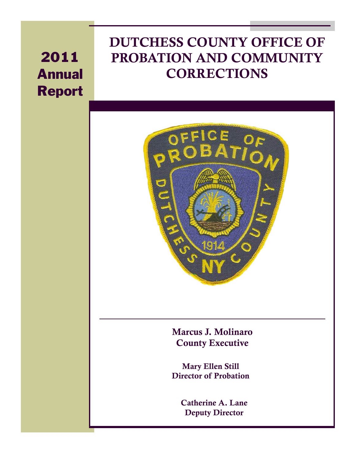# 2011 Annual Report

# **DUTCHESS COUNTY OFFICE OF PROBATION AND COMMUNITY CORRECTIONS**



**Marcus J. Molinaro County Executive** 

**Mary Ellen Still Director of Probation** 

> **Catherine A. Lane Deputy Director**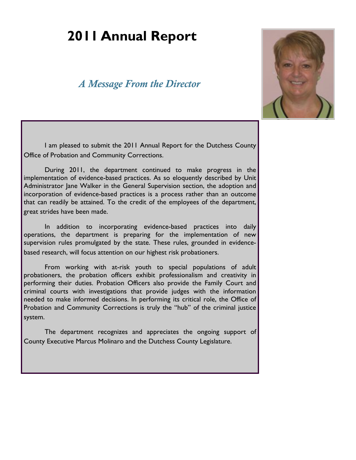# **2011 Annual Report**

# *A Message From the Director*



I am pleased to submit the 2011 Annual Report for the Dutchess County Office of Probation and Community Corrections.

 During 2011, the department continued to make progress in the implementation of evidence-based practices. As so eloquently described by Unit Administrator Jane Walker in the General Supervision section, the adoption and incorporation of evidence-based practices is a process rather than an outcome that can readily be attained. To the credit of the employees of the department, great strides have been made.

 In addition to incorporating evidence-based practices into daily operations, the department is preparing for the implementation of new supervision rules promulgated by the state. These rules, grounded in evidencebased research, will focus attention on our highest risk probationers.

 From working with at-risk youth to special populations of adult probationers, the probation officers exhibit professionalism and creativity in performing their duties. Probation Officers also provide the Family Court and criminal courts with investigations that provide judges with the information needed to make informed decisions. In performing its critical role, the Office of Probation and Community Corrections is truly the "hub" of the criminal justice system.

 The department recognizes and appreciates the ongoing support of County Executive Marcus Molinaro and the Dutchess County Legislature.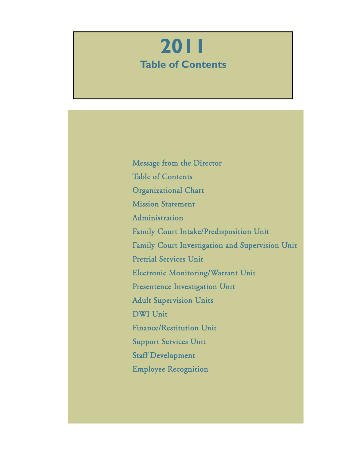# **2011 Table of Contents**

 Message from the Director Table of Contents Organizational Chart Mission Statement **Administration**  Family Court Intake/Predisposition Unit Family Court Investigation and Supervision Unit Pretrial Services Unit Electronic Monitoring/Warrant Unit Presentence Investigation Unit Adult Supervision Units DWI Unit Finance/Restitution Unit Support Services Unit Staff Development Employee Recognition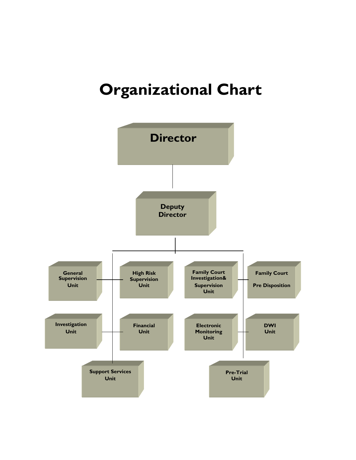# **Organizational Chart**

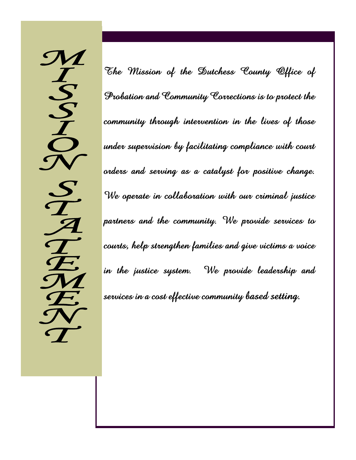$\boldsymbol{\mathcal{M}}$  $\boldsymbol{I}$  $\cdot S$  $\mathbf{S}% _{M_{1},M_{2}}^{(e,\sigma),(e,\sigma)}(-\varepsilon)=-\left( \sum_{i=1}^{N_{1},i}\sum_{j=1}^{N_{2},j}\left\vert \mathbf{S}_{i}\right\vert \right) ^{2}$  $\boldsymbol{I}$  $\cdot$  S  $\mathcal A$  $\boldsymbol{\mathcal{T}}$  $\sqrt{ }$  $\mathcal{\mathcal{M}}$  $\sum$ 

The Mission of the Dutchess County Office of Probation and Community Corrections is to protect the community through intervention in the lives of those under supervision by facilitating compliance with court orders and serving as a catalyst for positive change. We operate in collaboration with our criminal justice partners and the community. We provide services to courts, help strengthen families and give victims a voice in the justice system. We provide leadership and services in a cost effective community based setting.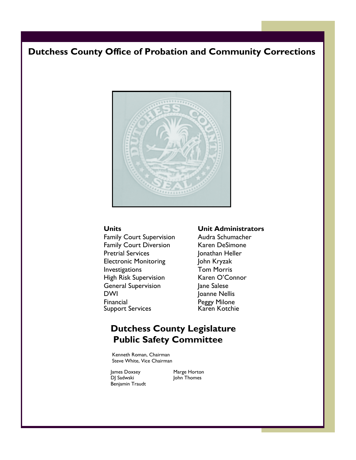# **Dutchess County Office of Probation and Community Corrections**



Family Court Supervision Audra Schumacher Family Court Diversion Karen DeSimone Pretrial Services Jonathan Heller Electronic Monitoring John Kryzak Investigations Tom Morris High Risk Supervision Karen O'Connor General Supervision Jane Salese DWI Joanne Nellis Financial Peggy Milone<br>Support Services Raren Kotchie Support Services

### **Units Unit Administrators**

# **Dutchess County Legislature Public Safety Committee**

 Kenneth Roman, Chairman Steve White, Vice Chairman

James Doxsey Marge Horton DJ Sadwski John Thomes Benjamin Traudt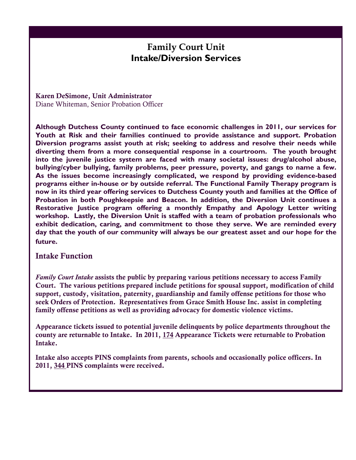# **Family Court Unit Intake/Diversion Services**

**Karen DeSimone, Unit Administrator**  Diane Whiteman, Senior Probation Officer

**Although Dutchess County continued to face economic challenges in 2011, our services for Youth at Risk and their families continued to provide assistance and support. Probation Diversion programs assist youth at risk; seeking to address and resolve their needs while diverting them from a more consequential response in a courtroom. The youth brought into the juvenile justice system are faced with many societal issues: drug/alcohol abuse, bullying/cyber bullying, family problems, peer pressure, poverty, and gangs to name a few. As the issues become increasingly complicated, we respond by providing evidence-based programs either in-house or by outside referral. The Functional Family Therapy program is now in its third year offering services to Dutchess County youth and families at the Office of Probation in both Poughkeepsie and Beacon. In addition, the Diversion Unit continues a Restorative Justice program offering a monthly Empathy and Apology Letter writing workshop. Lastly, the Diversion Unit is staffed with a team of probation professionals who exhibit dedication, caring, and commitment to those they serve. We are reminded every day that the youth of our community will always be our greatest asset and our hope for the future.** 

### **Intake Function**

*Family Court Intake* **assists the public by preparing various petitions necessary to access Family Court. The various petitions prepared include petitions for spousal support, modification of child support, custody, visitation, paternity, guardianship and family offense petitions for those who seek Orders of Protection. Representatives from Grace Smith House Inc. assist in completing family offense petitions as well as providing advocacy for domestic violence victims.** 

**Appearance tickets issued to potential juvenile delinquents by police departments throughout the county are returnable to Intake. In 2011, 174 Appearance Tickets were returnable to Probation Intake.**

**Intake also accepts PINS complaints from parents, schools and occasionally police officers. In 2011, 344 PINS complaints were received.**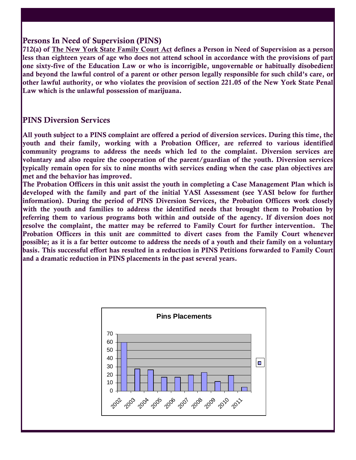## **Persons In Need of Supervision (PINS)**

**712(a) of The New York State Family Court Act defines a Person in Need of Supervision as a person less than eighteen years of age who does not attend school in accordance with the provisions of part one sixty-five of the Education Law or who is incorrigible, ungovernable or habitually disobedient and beyond the lawful control of a parent or other person legally responsible for such child's care, or other lawful authority, or who violates the provision of section 221.05 of the New York State Penal Law which is the unlawful possession of marijuana.** 

# **PINS Diversion Services**

**All youth subject to a PINS complaint are offered a period of diversion services. During this time, the youth and their family, working with a Probation Officer, are referred to various identified community programs to address the needs which led to the complaint. Diversion services are voluntary and also require the cooperation of the parent/guardian of the youth. Diversion services typically remain open for six to nine months with services ending when the case plan objectives are met and the behavior has improved.** 

**The Probation Officers in this unit assist the youth in completing a Case Management Plan which is developed with the family and part of the initial YASI Assessment (see YASI below for further information). During the period of PINS Diversion Services, the Probation Officers work closely with the youth and families to address the identified needs that brought them to Probation by**  referring them to various programs both within and outside of the agency. If diversion does not **resolve the complaint, the matter may be referred to Family Court for further intervention. The Probation Officers in this unit are committed to divert cases from the Family Court whenever possible; as it is a far better outcome to address the needs of a youth and their family on a voluntary basis. This successful effort has resulted in a reduction in PINS Petitions forwarded to Family Court and a dramatic reduction in PINS placements in the past several years.** 

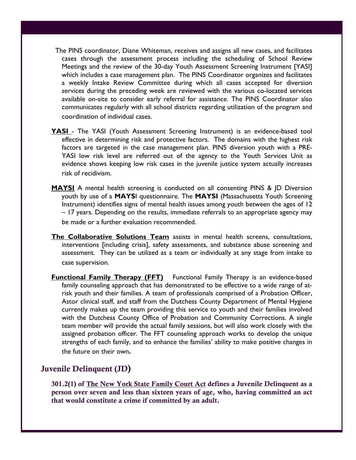- The PINS coordinator, Diane Whiteman, receives and assigns all new cases, and facilitates cases through the assessment process including the scheduling of School Review Meetings and the review of the 30-day Youth Assessment Screening Instrument [YASI] which includes a case management plan. The PINS Coordinator organizes and facilitates a weekly Intake Review Committee during which all cases accepted for diversion services during the preceding week are reviewed with the various co-located services available on-site to consider early referral for assistance. The PINS Coordinator also communicates regularly with all school districts regarding utilization of the program and coordination of individual cases.
- **YASI** The YASI (Youth Assessment Screening Instrument) is an evidence-based tool effective in determining risk and protective factors. The domains with the highest risk factors are targeted in the case management plan. PINS diversion youth with a PRE-YASI low risk level are referred out of the agency to the Youth Services Unit as evidence shows keeping low risk cases in the juvenile justice system actually increases risk of recidivism.
- **MAYSI** A mental health screening is conducted on all consenting PINS & JD Diversion youth by use of a **MAYS**I questionnaire. The **MAYSI** (Massachusetts Youth Screening Instrument) identifies signs of mental health issues among youth between the ages of 12 – 17 years. Depending on the results, immediate referrals to an appropriate agency may be made or a further evaluation recommended.
- **The Collaborative Solutions Team** assists in mental health screens, consultations, interventions [including crisis], safety assessments, and substance abuse screening and assessment. They can be utilized as a team or individually at any stage from intake to case supervision.
- **Functional Family Therapy (FFT)** Functional Family Therapy is an evidence-based family counseling approach that has demonstrated to be effective to a wide range of atrisk youth and their families. A team of professionals comprised of a Probation Officer, Astor clinical staff, and staff from the Dutchess County Department of Mental Hygiene currently makes up the team providing this service to youth and their families involved with the Dutchess County Office of Probation and Community Corrections. A single team member will provide the actual family sessions, but will also work closely with the assigned probation officer. The FFT counseling approach works to develop the unique strengths of each family, and to enhance the families' ability to make positive changes in the future on their own**.**

## **Juvenile Delinquent (JD)**

**301.2(1) of The New York State Family Court Act defines a Juvenile Delinquent as a person over seven and less than sixteen years of age, who, having committed an act that would constitute a crime if committed by an adult.**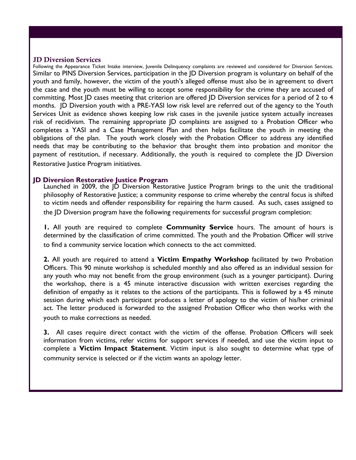### **JD Diversion Services**

Following the Appearance Ticket Intake interview, Juvenile Delinquency complaints are reviewed and considered for Diversion Services. Similar to PINS Diversion Services, participation in the JD Diversion program is voluntary on behalf of the youth and family, however, the victim of the youth's alleged offense must also be in agreement to divert the case and the youth must be willing to accept some responsibility for the crime they are accused of committing. Most JD cases meeting that criterion are offered JD Diversion services for a period of 2 to 4 months. JD Diversion youth with a PRE-YASI low risk level are referred out of the agency to the Youth Services Unit as evidence shows keeping low risk cases in the juvenile justice system actually increases risk of recidivism. The remaining appropriate JD complaints are assigned to a Probation Officer who completes a YASI and a Case Management Plan and then helps facilitate the youth in meeting the obligations of the plan. The youth work closely with the Probation Officer to address any identified needs that may be contributing to the behavior that brought them into probation and monitor the payment of restitution, if necessary. Additionally, the youth is required to complete the JD Diversion Restorative Justice Program initiatives.

### **ID Diversion Restorative Justice Program**

Launched in 2009, the JD Diversion Restorative Justice Program brings to the unit the traditional philosophy of Restorative Justice; a community response to crime whereby the central focus is shifted to victim needs and offender responsibility for repairing the harm caused. As such, cases assigned to the JD Diversion program have the following requirements for successful program completion:

**1.** All youth are required to complete **Community Service** hours. The amount of hours is determined by the classification of crime committed. The youth and the Probation Officer will strive to find a community service location which connects to the act committed.

**2.** All youth are required to attend a **Victim Empathy Workshop** facilitated by two Probation Officers. This 90 minute workshop is scheduled monthly and also offered as an individual session for any youth who may not benefit from the group environment (such as a younger participant). During the workshop, there is a 45 minute interactive discussion with written exercises regarding the definition of empathy as it relates to the actions of the participants. This is followed by a 45 minute session during which each participant produces a letter of apology to the victim of his/her criminal act. The letter produced is forwarded to the assigned Probation Officer who then works with the youth to make corrections as needed.

**3.** All cases require direct contact with the victim of the offense. Probation Officers will seek information from victims, refer victims for support services if needed, and use the victim input to complete a **Victim Impact Statement**. Victim input is also sought to determine what type of community service is selected or if the victim wants an apology letter.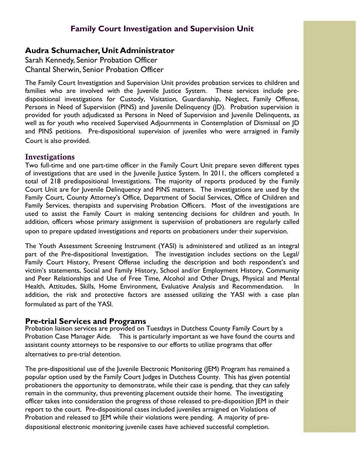# **Audra Schumacher, Unit Administrator**

Sarah Kennedy, Senior Probation Officer Chantal Sherwin, Senior Probation Officer

The Family Court Investigation and Supervision Unit provides probation services to children and families who are involved with the Juvenile Justice System. These services include predispositional investigations for Custody, Visitation, Guardianship, Neglect, Family Offense, Persons in Need of Supervision (PINS) and Juvenile Delinquency (JD). Probation supervision is provided for youth adjudicated as Persons in Need of Supervision and Juvenile Delinquents, as well as for youth who received Supervised Adjournments in Contemplation of Dismissal on JD and PINS petitions. Pre-dispositional supervision of juveniles who were arraigned in Family Court is also provided.

## **Investigations**

Two full-time and one part-time officer in the Family Court Unit prepare seven different types of investigations that are used in the Juvenile Justice System. In 2011, the officers completed a total of 218 predispositional Investigations. The majority of reports produced by the Family Court Unit are for Juvenile Delinquency and PINS matters. The investigations are used by the Family Court, County Attorney's Office, Department of Social Services, Office of Children and Family Services, therapists and supervising Probation Officers. Most of the investigations are used to assist the Family Court in making sentencing decisions for children and youth. In addition, officers whose primary assignment is supervision of probationers are regularly called upon to prepare updated investigations and reports on probationers under their supervision.

The Youth Assessment Screening Instrument (YASI) is administered and utilized as an integral part of the Pre-dispositional Investigation. The investigation includes sections on the Legal/ Family Court History, Present Offense including the description and both respondent's and victim's statements, Social and Family History, School and/or Employment History, Community and Peer Relationships and Use of Free Time, Alcohol and Other Drugs, Physical and Mental Health, Attitudes, Skills, Home Environment, Evaluative Analysis and Recommendation. In addition, the risk and protective factors are assessed utilizing the YASI with a case plan formulated as part of the YASI.

### **Pre-trial Services and Programs**

Probation liaison services are provided on Tuesdays in Dutchess County Family Court by a Probation Case Manager Aide. This is particularly important as we have found the courts and assistant county attorneys to be responsive to our efforts to utilize programs that offer alternatives to pre-trial detention.

The pre-dispositional use of the Juvenile Electronic Monitoring (JEM) Program has remained a popular option used by the Family Court Judges in Dutchess County. This has given potential probationers the opportunity to demonstrate, while their case is pending, that they can safely remain in the community, thus preventing placement outside their home. The investigating officer takes into consideration the progress of those released to pre-disposition JEM in their report to the court. Pre-dispositional cases included juveniles arraigned on Violations of Probation and released to JEM while their violations were pending. A majority of predispositional electronic monitoring juvenile cases have achieved successful completion.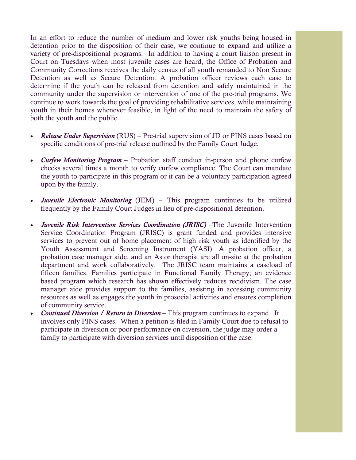In an effort to reduce the number of medium and lower risk youths being housed in detention prior to the disposition of their case, we continue to expand and utilize a variety of pre-dispositional programs. In addition to having a court liaison present in Court on Tuesdays when most juvenile cases are heard, the Office of Probation and Community Corrections receives the daily census of all youth remanded to Non Secure Detention as well as Secure Detention. A probation officer reviews each case to determine if the youth can be released from detention and safely maintained in the community under the supervision or intervention of one of the pre-trial programs. We continue to work towards the goal of providing rehabilitative services, while maintaining youth in their homes whenever feasible, in light of the need to maintain the safety of both the youth and the public.

- *Release Under Supervision* (RUS) Pre-trial supervision of JD or PINS cases based on specific conditions of pre-trial release outlined by the Family Court Judge.
- *Curfew Monitoring Program*  Probation staff conduct in-person and phone curfew checks several times a month to verify curfew compliance. The Court can mandate the youth to participate in this program or it can be a voluntary participation agreed upon by the family.
- *Juvenile Electronic Monitoring* (JEM) This program continues to be utilized frequently by the Family Court Judges in lieu of pre-dispositional detention.
- *Juvenile Risk Intervention Services Coordination (JRISC)* The Juvenile Intervention Service Coordination Program (JRISC) is grant funded and provides intensive services to prevent out of home placement of high risk youth as identified by the Youth Assessment and Screening Instrument (YASI). A probation officer, a probation case manager aide, and an Astor therapist are all on-site at the probation department and work collaboratively. The JRISC team maintains a caseload of fifteen families. Families participate in Functional Family Therapy; an evidence based program which research has shown effectively reduces recidivism. The case manager aide provides support to the families, assisting in accessing community resources as well as engages the youth in prosocial activities and ensures completion of community service.
- *Continued Diversion / Return to Diversion* This program continues to expand. It involves only PINS cases. When a petition is filed in Family Court due to refusal to participate in diversion or poor performance on diversion, the judge may order a family to participate with diversion services until disposition of the case.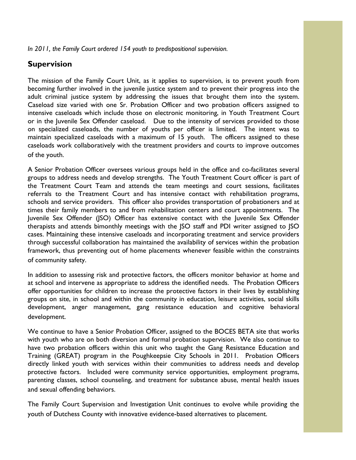*In 2011, the Family Court ordered 154 youth to predispositional supervision.* 

# **Supervision**

The mission of the Family Court Unit, as it applies to supervision, is to prevent youth from becoming further involved in the juvenile justice system and to prevent their progress into the adult criminal justice system by addressing the issues that brought them into the system. Caseload size varied with one Sr. Probation Officer and two probation officers assigned to intensive caseloads which include those on electronic monitoring, in Youth Treatment Court or in the Juvenile Sex Offender caseload. Due to the intensity of services provided to those on specialized caseloads, the number of youths per officer is limited. The intent was to maintain specialized caseloads with a maximum of 15 youth. The officers assigned to these caseloads work collaboratively with the treatment providers and courts to improve outcomes of the youth.

A Senior Probation Officer oversees various groups held in the office and co-facilitates several groups to address needs and develop strengths. The Youth Treatment Court officer is part of the Treatment Court Team and attends the team meetings and court sessions, facilitates referrals to the Treatment Court and has intensive contact with rehabilitation programs, schools and service providers. This officer also provides transportation of probationers and at times their family members to and from rehabilitation centers and court appointments. The Juvenile Sex Offender (JSO) Officer has extensive contact with the Juvenile Sex Offender therapists and attends bimonthly meetings with the JSO staff and PDI writer assigned to JSO cases. Maintaining these intensive caseloads and incorporating treatment and service providers through successful collaboration has maintained the availability of services within the probation framework, thus preventing out of home placements whenever feasible within the constraints of community safety.

In addition to assessing risk and protective factors, the officers monitor behavior at home and at school and intervene as appropriate to address the identified needs. The Probation Officers offer opportunities for children to increase the protective factors in their lives by establishing groups on site, in school and within the community in education, leisure activities, social skills development, anger management, gang resistance education and cognitive behavioral development.

We continue to have a Senior Probation Officer, assigned to the BOCES BETA site that works with youth who are on both diversion and formal probation supervision. We also continue to have two probation officers within this unit who taught the Gang Resistance Education and Training (GREAT) program in the Poughkeepsie City Schools in 2011. Probation Officers directly linked youth with services within their communities to address needs and develop protective factors. Included were community service opportunities, employment programs, parenting classes, school counseling, and treatment for substance abuse, mental health issues and sexual offending behaviors.

The Family Court Supervision and Investigation Unit continues to evolve while providing the youth of Dutchess County with innovative evidence-based alternatives to placement.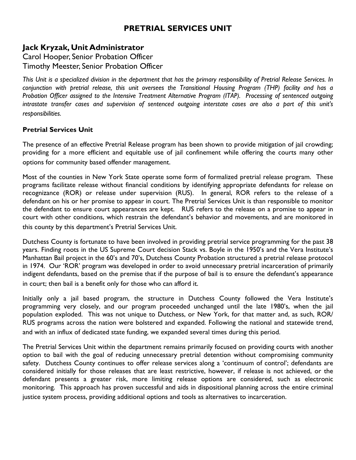# **PRETRIAL SERVICES UNIT**

# **Jack Kryzak, Unit Administrator**

Carol Hooper, Senior Probation Officer Timothy Meester, Senior Probation Officer

*This Unit is a specialized division in the department that has the primary responsibility of Pretrial Release Services. In*  conjunction with pretrial release, this unit oversees the Transitional Housing Program (THP) facility and has a *Probation Officer assigned to the Intensive Treatment Alternative Program (ITAP). Processing of sentenced outgoing intrastate transfer cases and supervision of sentenced outgoing interstate cases are also a part of this unit's responsibilities.* 

### **Pretrial Services Unit**

The presence of an effective Pretrial Release program has been shown to provide mitigation of jail crowding; providing for a more efficient and equitable use of jail confinement while offering the courts many other options for community based offender management.

Most of the counties in New York State operate some form of formalized pretrial release program. These programs facilitate release without financial conditions by identifying appropriate defendants for release on recognizance (ROR) or release under supervision (RUS). In general, ROR refers to the release of a defendant on his or her promise to appear in court. The Pretrial Services Unit is than responsible to monitor the defendant to ensure court appearances are kept. RUS refers to the release on a promise to appear in court with other conditions, which restrain the defendant's behavior and movements, and are monitored in this county by this department's Pretrial Services Unit.

Dutchess County is fortunate to have been involved in providing pretrial service programming for the past 38 years. Finding roots in the US Supreme Court decision Stack vs. Boyle in the 1950's and the Vera Institute's Manhattan Bail project in the 60's and 70's, Dutchess County Probation structured a pretrial release protocol in 1974. Our 'ROR' program was developed in order to avoid unnecessary pretrial incarceration of primarily indigent defendants, based on the premise that if the purpose of bail is to ensure the defendant's appearance in court; then bail is a benefit only for those who can afford it.

Initially only a jail based program, the structure in Dutchess County followed the Vera Institute's programming very closely, and our program proceeded unchanged until the late 1980's, when the jail population exploded. This was not unique to Dutchess, or New York, for that matter and, as such, ROR/ RUS programs across the nation were bolstered and expanded. Following the national and statewide trend, and with an influx of dedicated state funding, we expanded several times during this period.

The Pretrial Services Unit within the department remains primarily focused on providing courts with another option to bail with the goal of reducing unnecessary pretrial detention without compromising community safety. Dutchess County continues to offer release services along a 'continuum of control'; defendants are considered initially for those releases that are least restrictive, however, if release is not achieved, or the defendant presents a greater risk, more limiting release options are considered, such as electronic monitoring. This approach has proven successful and aids in dispositional planning across the entire criminal justice system process, providing additional options and tools as alternatives to incarceration.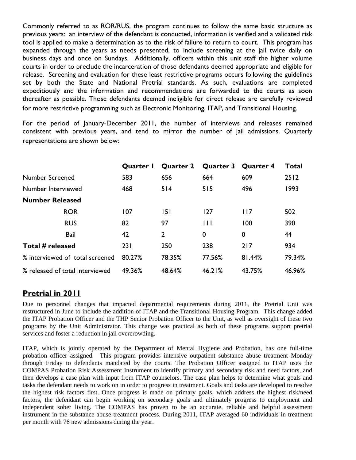Commonly referred to as ROR/RUS, the program continues to follow the same basic structure as previous years: an interview of the defendant is conducted, information is verified and a validated risk tool is applied to make a determination as to the risk of failure to return to court. This program has expanded through the years as needs presented, to include screening at the jail twice daily on business days and once on Sundays. Additionally, officers within this unit staff the higher volume courts in order to preclude the incarceration of those defendants deemed appropriate and eligible for release. Screening and evaluation for these least restrictive programs occurs following the guidelines set by both the State and National Pretrial standards. As such, evaluations are completed expeditiously and the information and recommendations are forwarded to the courts as soon thereafter as possible. Those defendants deemed ineligible for direct release are carefully reviewed for more restrictive programming such as Electronic Monitoring, ITAP, and Transitional Housing.

For the period of January-December 2011, the number of interviews and releases remained consistent with previous years, and tend to mirror the number of jail admissions. Quarterly representations are shown below:

|                                 | <b>Quarter I</b> |                | Quarter 2 Quarter 3 Quarter 4 |        | <b>Total</b> |
|---------------------------------|------------------|----------------|-------------------------------|--------|--------------|
| Number Screened                 | 583              | 656            | 664                           | 609    | 2512         |
| Number Interviewed              | 468              | 514            | 515                           | 496    | 1993         |
| <b>Number Released</b>          |                  |                |                               |        |              |
| <b>ROR</b>                      | 107              | 151            | 127                           | 117    | 502          |
| <b>RUS</b>                      | 82               | 97             | $\mathbf{H}$                  | 100    | 390          |
| Bail                            | 42               | $\overline{2}$ | $\mathbf 0$                   | 0      | 44           |
| Total # released                | 231              | 250            | 238                           | 217    | 934          |
| % interviewed of total screened | 80.27%           | 78.35%         | 77.56%                        | 81.44% | 79.34%       |
| % released of total interviewed | 49.36%           | 48.64%         | 46.21%                        | 43.75% | 46.96%       |

# **Pretrial in 2011**

Due to personnel changes that impacted departmental requirements during 2011, the Pretrial Unit was restructured in June to include the addition of ITAP and the Transitional Housing Program. This change added the ITAP Probation Officer and the THP Senior Probation Officer to the Unit, as well as oversight of these two programs by the Unit Administrator. This change was practical as both of these programs support pretrial services and foster a reduction in jail overcrowding.

ITAP, which is jointly operated by the Department of Mental Hygiene and Probation, has one full-time probation officer assigned. This program provides intensive outpatient substance abuse treatment Monday through Friday to defendants mandated by the courts. The Probation Officer assigned to ITAP uses the COMPAS Probation Risk Assessment Instrument to identify primary and secondary risk and need factors, and then develops a case plan with input from ITAP counselors. The case plan helps to determine what goals and tasks the defendant needs to work on in order to progress in treatment. Goals and tasks are developed to resolve the highest risk factors first. Once progress is made on primary goals, which address the highest risk/need factors, the defendant can begin working on secondary goals and ultimately progress to employment and independent sober living. The COMPAS has proven to be an accurate, reliable and helpful assessment instrument in the substance abuse treatment process. During 2011, ITAP averaged 60 individuals in treatment per month with 76 new admissions during the year.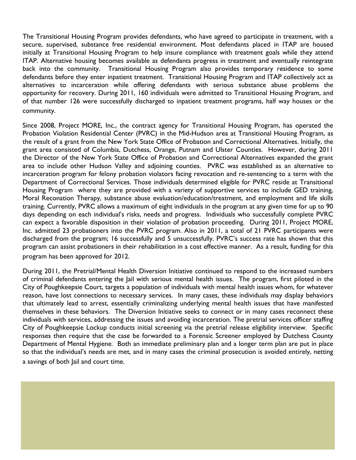The Transitional Housing Program provides defendants, who have agreed to participate in treatment, with a secure, supervised, substance free residential environment. Most defendants placed in ITAP are housed initially at Transitional Housing Program to help insure compliance with treatment goals while they attend ITAP. Alternative housing becomes available as defendants progress in treatment and eventually reintegrate back into the community. Transitional Housing Program also provides temporary residence to some defendants before they enter inpatient treatment. Transitional Housing Program and ITAP collectively act as alternatives to incarceration while offering defendants with serious substance abuse problems the opportunity for recovery. During 2011, 160 individuals were admitted to Transitional Housing Program, and of that number 126 were successfully discharged to inpatient treatment programs, half way houses or the community.

Since 2008, Project MORE, Inc., the contract agency for Transitional Housing Program, has operated the Probation Violation Residential Center (PVRC) in the Mid-Hudson area at Transitional Housing Program, as the result of a grant from the New York State Office of Probation and Correctional Alternatives. Initially, the grant area consisted of Columbia, Dutchess, Orange, Putnam and Ulster Counties. However, during 2011 the Director of the New York State Office of Probation and Correctional Alternatives expanded the grant area to include other Hudson Valley and adjoining counties. PVRC was established as an alternative to incarceration program for felony probation violators facing revocation and re-sentencing to a term with the Department of Correctional Services. Those individuals determined eligible for PVRC reside at Transitional Housing Program where they are provided with a variety of supportive services to include GED training, Moral Reconation Therapy, substance abuse evaluation/education/treatment, and employment and life skills training. Currently, PVRC allows a maximum of eight individuals in the program at any given time for up to 90 days depending on each individual's risks, needs and progress. Individuals who successfully complete PVRC can expect a favorable disposition in their violation of probation proceeding. During 2011, Project MORE, Inc. admitted 23 probationers into the PVRC program. Also in 2011, a total of 21 PVRC participants were discharged from the program; 16 successfully and 5 unsuccessfully. PVRC's success rate has shown that this program can assist probationers in their rehabilitation in a cost effective manner. As a result, funding for this program has been approved for 2012.

During 2011, the Pretrial/Mental Health Diversion Initiative continued to respond to the increased numbers of criminal defendants entering the Jail with serious mental health issues. The program, first piloted in the City of Poughkeepsie Court, targets a population of individuals with mental health issues whom, for whatever reason, have lost connections to necessary services. In many cases, these individuals may display behaviors that ultimately lead to arrest, essentially criminalizing underlying mental health issues that have manifested themselves in these behaviors. The Diversion Initiative seeks to connect or in many cases reconnect these individuals with services, addressing the issues and avoiding incarceration. The pretrial services officer staffing City of Poughkeepsie Lockup conducts initial screening via the pretrial release eligibility interview. Specific responses then require that the case be forwarded to a Forensic Screener employed by Dutchess County Department of Mental Hygiene. Both an immediate preliminary plan and a longer term plan are put in place so that the individual's needs are met, and in many cases the criminal prosecution is avoided entirely, netting a savings of both Jail and court time.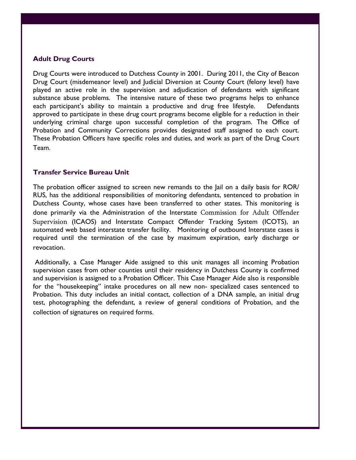### **Adult Drug Courts**

Drug Courts were introduced to Dutchess County in 2001. During 2011, the City of Beacon Drug Court (misdemeanor level) and Judicial Diversion at County Court (felony level) have played an active role in the supervision and adjudication of defendants with significant substance abuse problems. The intensive nature of these two programs helps to enhance each participant's ability to maintain a productive and drug free lifestyle. Defendants approved to participate in these drug court programs become eligible for a reduction in their underlying criminal charge upon successful completion of the program. The Office of Probation and Community Corrections provides designated staff assigned to each court. These Probation Officers have specific roles and duties, and work as part of the Drug Court Team.

### **Transfer Service Bureau Unit**

The probation officer assigned to screen new remands to the Jail on a daily basis for ROR/ RUS, has the additional responsibilities of monitoring defendants, sentenced to probation in Dutchess County, whose cases have been transferred to other states. This monitoring is done primarily via the Administration of the Interstate Commission for Adult Offender Supervision (ICAOS) and Interstate Compact Offender Tracking System (ICOTS), an automated web based interstate transfer facility. Monitoring of outbound Interstate cases is required until the termination of the case by maximum expiration, early discharge or revocation.

 Additionally, a Case Manager Aide assigned to this unit manages all incoming Probation supervision cases from other counties until their residency in Dutchess County is confirmed and supervision is assigned to a Probation Officer. This Case Manager Aide also is responsible for the "housekeeping" intake procedures on all new non- specialized cases sentenced to Probation. This duty includes an initial contact, collection of a DNA sample, an initial drug test, photographing the defendant, a review of general conditions of Probation, and the collection of signatures on required forms.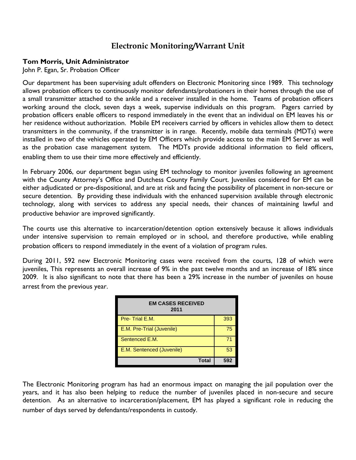# **Electronic Monitoring/Warrant Unit**

### **Tom Morris, Unit Administrator**

John P. Egan, Sr. Probation Officer

Our department has been supervising adult offenders on Electronic Monitoring since 1989. This technology allows probation officers to continuously monitor defendants/probationers in their homes through the use of a small transmitter attached to the ankle and a receiver installed in the home. Teams of probation officers working around the clock, seven days a week, supervise individuals on this program. Pagers carried by probation officers enable officers to respond immediately in the event that an individual on EM leaves his or her residence without authorization. Mobile EM receivers carried by officers in vehicles allow them to detect transmitters in the community, if the transmitter is in range. Recently, mobile data terminals (MDTs) were installed in two of the vehicles operated by EM Officers which provide access to the main EM Server as well as the probation case management system. The MDTs provide additional information to field officers, enabling them to use their time more effectively and efficiently.

In February 2006, our department began using EM technology to monitor juveniles following an agreement with the County Attorney's Office and Dutchess County Family Court. Juveniles considered for EM can be either adjudicated or pre-dispositional, and are at risk and facing the possibility of placement in non-secure or secure detention. By providing these individuals with the enhanced supervision available through electronic technology, along with services to address any special needs, their chances of maintaining lawful and productive behavior are improved significantly.

The courts use this alternative to incarceration/detention option extensively because it allows individuals under intensive supervision to remain employed or in school, and therefore productive, while enabling probation officers to respond immediately in the event of a violation of program rules.

During 2011, 592 new Electronic Monitoring cases were received from the courts, 128 of which were juveniles, This represents an overall increase of 9% in the past twelve months and an increase of 18% since 2009. It is also significant to note that there has been a 29% increase in the number of juveniles on house arrest from the previous year.

| <b>EM CASES RECEIVED</b><br>2011 |     |  |
|----------------------------------|-----|--|
| Pre-Trial E.M.                   | 393 |  |
| E.M. Pre-Trial (Juvenile)        | 75  |  |
| Sentenced E.M.                   | 71  |  |
| E.M. Sentenced (Juvenile)        | 53  |  |
| <b>Total</b>                     | 592 |  |

The Electronic Monitoring program has had an enormous impact on managing the jail population over the years, and it has also been helping to reduce the number of juveniles placed in non-secure and secure detention. As an alternative to incarceration/placement, EM has played a significant role in reducing the number of days served by defendants/respondents in custody.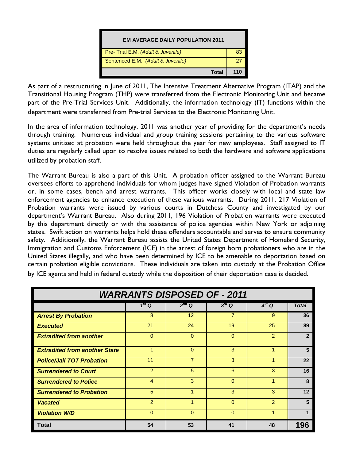

As part of a restructuring in June of 2011, The Intensive Treatment Alternative Program (ITAP) and the Transitional Housing Program (THP) were transferred from the Electronic Monitoring Unit and became part of the Pre-Trial Services Unit. Additionally, the information technology (IT) functions within the department were transferred from Pre-trial Services to the Electronic Monitoring Unit.

In the area of information technology, 2011 was another year of providing for the department's needs through training. Numerous individual and group training sessions pertaining to the various software systems unitized at probation were held throughout the year for new employees. Staff assigned to IT duties are regularly called upon to resolve issues related to both the hardware and software applications utilized by probation staff.

The Warrant Bureau is also a part of this Unit. A probation officer assigned to the Warrant Bureau oversees efforts to apprehend individuals for whom judges have signed Violation of Probation warrants or, in some cases, bench and arrest warrants. This officer works closely with local and state law enforcement agencies to enhance execution of these various warrants. During 2011, 217 Violation of Probation warrants were issued by various courts in Dutchess County and investigated by our department's Warrant Bureau. Also during 2011, 196 Violation of Probation warrants were executed by this department directly or with the assistance of police agencies within New York or adjoining states. Swift action on warrants helps hold these offenders accountable and serves to ensure community safety. Additionally, the Warrant Bureau assists the United States Department of Homeland Security, Immigration and Customs Enforcement (ICE) in the arrest of foreign born probationers who are in the United States illegally, and who have been determined by ICE to be amenable to deportation based on certain probation eligible convictions. These individuals are taken into custody at the Probation Office by ICE agents and held in federal custody while the disposition of their deportation case is decided.

| <b>WARRANTS DISPOSED OF - 2011</b>   |                   |                |                |            |                |
|--------------------------------------|-------------------|----------------|----------------|------------|----------------|
|                                      | 1 <sup>st</sup> Q | $2^{nd}$ Q     | $3^{rd}$ Q     | $4^{th}$ Q | <b>Total</b>   |
| <b>Arrest By Probation</b>           | 8                 | 12             | $\overline{7}$ | 9          | 36             |
| <b>Executed</b>                      | 21                | 24             | 19             | 25         | 89             |
| <b>Extradited from another</b>       | $\Omega$          | $\mathbf 0$    | 0              | 2          | $\overline{2}$ |
| <b>Extradited from another State</b> | 4                 | $\Omega$       | 3              | 1          | 5              |
| <b>Police/Jail TOT Probation</b>     | 11                | $\overline{7}$ | 3              |            | 22             |
| <b>Surrendered to Court</b>          | 2                 | 5              | 6              | 3          | 16             |
| <b>Surrendered to Police</b>         | 4                 | 3              | $\Omega$       |            | 8              |
| <b>Surrendered to Probation</b>      | 5                 | 1              | 3              | 3          | 12             |
| <b>Vacated</b>                       | $\overline{2}$    |                | $\Omega$       | 2          | 5              |
| <b>Violation W/D</b>                 | $\Omega$          | $\Omega$       | 0              |            |                |
| <b>Total</b>                         | 54                | 53             | 41             | 48         | 196            |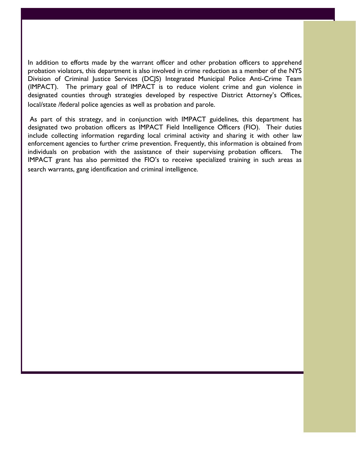In addition to efforts made by the warrant officer and other probation officers to apprehend probation violators, this department is also involved in crime reduction as a member of the NYS Division of Criminal Justice Services (DCJS) Integrated Municipal Police Anti-Crime Team (IMPACT). The primary goal of IMPACT is to reduce violent crime and gun violence in designated counties through strategies developed by respective District Attorney's Offices, local/state /federal police agencies as well as probation and parole.

 As part of this strategy, and in conjunction with IMPACT guidelines, this department has designated two probation officers as IMPACT Field Intelligence Officers (FIO). Their duties include collecting information regarding local criminal activity and sharing it with other law enforcement agencies to further crime prevention. Frequently, this information is obtained from individuals on probation with the assistance of their supervising probation officers. The IMPACT grant has also permitted the FIO's to receive specialized training in such areas as search warrants, gang identification and criminal intelligence.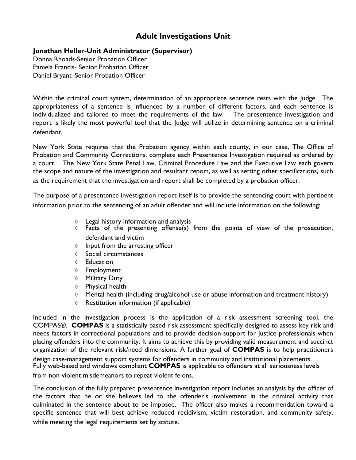# **Adult Investigations Unit**

### **Jonathan Heller-Unit Administrator (Supervisor)**

Donna Rhoads-Senior Probation Officer Pamela Francis- Senior Probation Officer Daniel Bryant- Senior Probation Officer

Within the criminal court system, determination of an appropriate sentence rests with the Judge. The appropriateness of a sentence is influenced by a number of different factors, and each sentence is individualized and tailored to meet the requirements of the law. The presentence investigation and report is likely the most powerful tool that the Judge will utilize in determining sentence on a criminal defendant.

New York State requires that the Probation agency within each county, in our case, The Office of Probation and Community Corrections, complete each Presentence Investigation required as ordered by a court. The New York State Penal Law, Criminal Procedure Law and the Executive Law each govern the scope and nature of the investigation and resultant report, as well as setting other specifications, such as the requirement that the investigation and report shall be completed by a probation officer.

The purpose of a presentence investigation report itself is to provide the sentencing court with pertinent information prior to the sentencing of an adult offender and will include information on the following:

- ◊ Legal history information and analysis
- ◊ Facts of the presenting offense(s) from the points of view of the prosecution, defendant and victim
- ◊ Input from the arresting officer
- ◊ Social circumstances
- ◊ Education
- ◊ Employment
- ◊ Military Duty
- ◊ Physical health
- $\Diamond$  Mental health (including drug/alcohol use or abuse information and treatment history)
- ◊ Restitution information (if applicable)

Included in the investigation process is the application of a risk assessment screening tool, the COMPAS®. **COMPAS** is a statistically based risk assessment specifically designed to assess key risk and needs factors in correctional populations and to provide decision-support for justice professionals when placing offenders into the community. It aims to achieve this by providing valid measurement and succinct organization of the relevant risk/need dimensions. A further goal of **COMPAS** is to help practitioners

design case-management support systems for offenders in community and institutional placements. Fully web-based and windows compliant **COMPAS** is applicable to offenders at all seriousness levels

from non-violent misdemeanors to repeat violent felons.

The conclusion of the fully prepared presentence investigation report includes an analysis by the officer of the factors that he or she believes led to the offender's involvement in the criminal activity that culminated in the sentence about to be imposed. The officer also makes a recommendation toward a specific sentence that will best achieve reduced recidivism, victim restoration, and community safety, while meeting the legal requirements set by statute.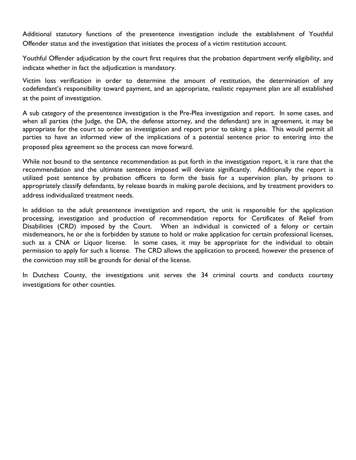Additional statutory functions of the presentence investigation include the establishment of Youthful Offender status and the investigation that initiates the process of a victim restitution account.

Youthful Offender adjudication by the court first requires that the probation department verify eligibility, and indicate whether in fact the adjudication is mandatory.

Victim loss verification in order to determine the amount of restitution, the determination of any codefendant's responsibility toward payment, and an appropriate, realistic repayment plan are all established at the point of investigation.

A sub category of the presentence investigation is the Pre-Plea investigation and report. In some cases, and when all parties (the Judge, the DA, the defense attorney, and the defendant) are in agreement, it may be appropriate for the court to order an investigation and report prior to taking a plea. This would permit all parties to have an informed view of the implications of a potential sentence prior to entering into the proposed plea agreement so the process can move forward.

While not bound to the sentence recommendation as put forth in the investigation report, it is rare that the recommendation and the ultimate sentence imposed will deviate significantly. Additionally the report is utilized post sentence by probation officers to form the basis for a supervision plan, by prisons to appropriately classify defendants, by release boards in making parole decisions, and by treatment providers to address individualized treatment needs.

In addition to the adult presentence investigation and report, the unit is responsible for the application processing, investigation and production of recommendation reports for Certificates of Relief from Disabilities (CRD) imposed by the Court. When an individual is convicted of a felony or certain misdemeanors, he or she is forbidden by statute to hold or make application for certain professional licenses, such as a CNA or Liquor license. In some cases, it may be appropriate for the individual to obtain permission to apply for such a license. The CRD allows the application to proceed, however the presence of the conviction may still be grounds for denial of the license.

In Dutchess County, the investigations unit serves the 34 criminal courts and conducts courtesy investigations for other counties.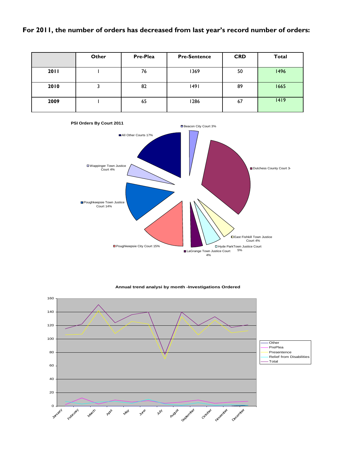## **For 2011, the number of orders has decreased from last year's record number of orders:**

|      | Other | Pre-Plea | <b>Pre-Sentence</b> | <b>CRD</b> | Total |
|------|-------|----------|---------------------|------------|-------|
| 2011 |       | 76       | 1369                | 50         | 1496  |
| 2010 | J     | 82       | 1491                | 89         | 1665  |
| 2009 |       | 65       | 1286                | 67         | 1419  |



### **Annual trend analysi by month -Investigations Ordered**

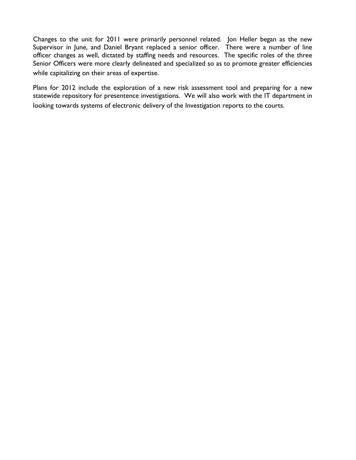Changes to the unit for 2011 were primarily personnel related. Jon Heller began as the new Supervisor in June, and Daniel Bryant replaced a senior officer. There were a number of line officer changes as well, dictated by staffing needs and resources. The specific roles of the three Senior Officers were more clearly delineated and specialized so as to promote greater efficiencies while capitalizing on their areas of expertise.

Plans for 2012 include the exploration of a new risk assessment tool and preparing for a new statewide repository for presentence investigations. We will also work with the IT department in looking towards systems of electronic delivery of the Investigation reports to the courts.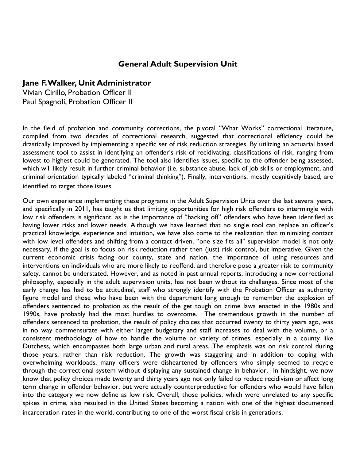## **General Adult Supervision Unit**

### **Jane F. Walker, Unit Administrator**

Vivian Cirillo, Probation Officer II Paul Spagnoli, Probation Officer II

In the field of probation and community corrections, the pivotal "What Works" correctional literature, compiled from two decades of correctional research, suggested that correctional efficiency could be drastically improved by implementing a specific set of risk reduction strategies. By utilizing an actuarial based assessment tool to assist in identifying an offender's risk of recidivating, classifications of risk, ranging from lowest to highest could be generated. The tool also identifies issues, specific to the offender being assessed, which will likely result in further criminal behavior (i.e. substance abuse, lack of job skills or employment, and criminal orientation typically labeled "criminal thinking"). Finally, interventions, mostly cognitively based, are identified to target those issues.

Our own experience implementing these programs in the Adult Supervision Units over the last several years, and specifically in 2011, has taught us that limiting opportunities for high risk offenders to intermingle with low risk offenders is significant, as is the importance of "backing off" offenders who have been identified as having lower risks and lower needs. Although we have learned that no single tool can replace an officer's practical knowledge, experience and intuition, we have also come to the realization that minimizing contact with low level offenders and shifting from a contact driven, "one size fits all" supervision model is not only necessary, if the goal is to focus on risk reduction rather then (just) risk control, but imperative. Given the current economic crisis facing our county, state and nation, the importance of using resources and interventions on individuals who are more likely to reoffend, and therefore pose a greater risk to community safety, cannot be understated. However, and as noted in past annual reports, introducing a new correctional philosophy, especially in the adult supervision units, has not been without its challenges. Since most of the early change has had to be attitudinal, staff who strongly identify with the Probation Officer as authority figure model and those who have been with the department long enough to remember the explosion of offenders sentenced to probation as the result of the get tough on crime laws enacted in the 1980s and 1990s, have probably had the most hurdles to overcome. The tremendous growth in the number of offenders sentenced to probation, the result of policy choices that occurred twenty to thirty years ago, was in no way commensurate with either larger budgetary and staff increases to deal with the volume, or a consistent methodology of how to handle the volume or variety of crimes, especially in a county like Dutchess, which encompasses both large urban and rural areas. The emphasis was on risk control during those years, rather than risk reduction. The growth was staggering and in addition to coping with overwhelming workloads, many officers were disheartened by offenders who simply seemed to recycle through the correctional system without displaying any sustained change in behavior. In hindsight, we now know that policy choices made twenty and thirty years ago not only failed to reduce recidivism or affect long term change in offender behavior, but were actually counterproductive for offenders who would have fallen into the category we now define as low risk. Overall, those policies, which were unrelated to any specific spikes in crime, also resulted in the United States becoming a nation with one of the highest documented incarceration rates in the world, contributing to one of the worst fiscal crisis in generations.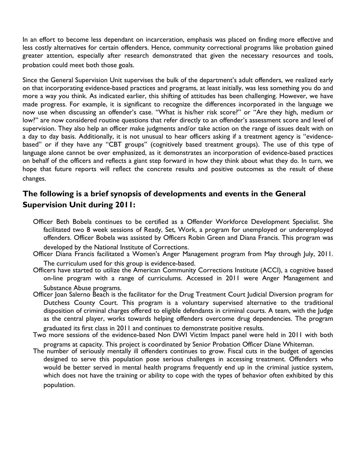In an effort to become less dependant on incarceration, emphasis was placed on finding more effective and less costly alternatives for certain offenders. Hence, community correctional programs like probation gained greater attention, especially after research demonstrated that given the necessary resources and tools, probation could meet both those goals.

Since the General Supervision Unit supervises the bulk of the department's adult offenders, we realized early on that incorporating evidence-based practices and programs, at least initially, was less something you do and more a way you think. As indicated earlier, this shifting of attitudes has been challenging. However, we have made progress. For example, it is significant to recognize the differences incorporated in the language we now use when discussing an offender's case. "What is his/her risk score?" or "Are they high, medium or low?" are now considered routine questions that refer directly to an offender's assessment score and level of supervision. They also help an officer make judgments and/or take action on the range of issues dealt with on a day to day basis. Additionally, it is not unusual to hear officers asking if a treatment agency is "evidencebased" or if they have any "CBT groups" (cognitively based treatment groups). The use of this type of language alone cannot be over emphasized, as it demonstrates an incorporation of evidence-based practices on behalf of the officers and reflects a giant step forward in how they think about what they do. In turn, we hope that future reports will reflect the concrete results and positive outcomes as the result of these changes.

# **The following is a brief synopsis of developments and events in the General Supervision Unit during 2011:**

- Officer Beth Bobela continues to be certified as a Offender Workforce Development Specialist. She facilitated two 8 week sessions of Ready, Set, Work, a program for unemployed or underemployed offenders. Officer Bobela was assisted by Officers Robin Green and Diana Francis. This program was
- developed by the National Institute of Corrections. Officer Diana Francis facilitated a Women's Anger Management program from May through July, 2011.

The curriculum used for this group is evidence-based. Officers have started to utilize the American Community Corrections Institute (ACCI), a cognitive based on-line program with a range of curriculums. Accessed in 2011 were Anger Management and Substance Abuse programs.

Officer Joan Salerno Beach is the facilitator for the Drug Treatment Court Judicial Diversion program for Dutchess County Court. This program is a voluntary supervised alternative to the traditional disposition of criminal charges offered to eligible defendants in criminal courts. A team, with the Judge as the central player, works towards helping offenders overcome drug dependencies. The program

graduated its first class in 2011 and continues to demonstrate positive results. Two more sessions of the evidence-based Non DWI Victim Impact panel were held in 2011 with both

programs at capacity. This project is coordinated by Senior Probation Officer Diane Whiteman. The number of seriously mentally ill offenders continues to grow. Fiscal cuts in the budget of agencies designed to serve this population pose serious challenges in accessing treatment. Offenders who

would be better served in mental health programs frequently end up in the criminal justice system, which does not have the training or ability to cope with the types of behavior often exhibited by this population.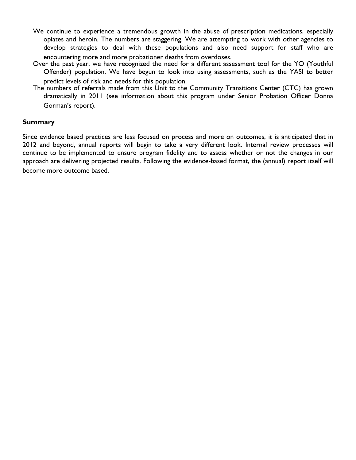- We continue to experience a tremendous growth in the abuse of prescription medications, especially opiates and heroin. The numbers are staggering. We are attempting to work with other agencies to develop strategies to deal with these populations and also need support for staff who are encountering more and more probationer deaths from overdoses.
- Over the past year, we have recognized the need for a different assessment tool for the YO (Youthful Offender) population. We have begun to look into using assessments, such as the YASI to better predict levels of risk and needs for this population.
- The numbers of referrals made from this Unit to the Community Transitions Center (CTC) has grown dramatically in 2011 (see information about this program under Senior Probation Officer Donna Gorman's report).

### **Summary**

Since evidence based practices are less focused on process and more on outcomes, it is anticipated that in 2012 and beyond, annual reports will begin to take a very different look. Internal review processes will continue to be implemented to ensure program fidelity and to assess whether or not the changes in our approach are delivering projected results. Following the evidence-based format, the (annual) report itself will become more outcome based.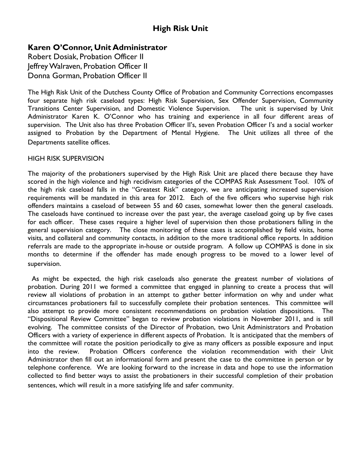# **Karen O'Connor, Unit Administrator**

Robert Dosiak, Probation Officer II Jeffrey Walraven, Probation Officer II Donna Gorman, Probation Officer II

The High Risk Unit of the Dutchess County Office of Probation and Community Corrections encompasses four separate high risk caseload types: High Risk Supervision, Sex Offender Supervision, Community Transitions Center Supervision, and Domestic Violence Supervision. The unit is supervised by Unit Administrator Karen K. O'Connor who has training and experience in all four different areas of supervision. The Unit also has three Probation Officer II's, seven Probation Officer I's and a social worker assigned to Probation by the Department of Mental Hygiene. The Unit utilizes all three of the Departments satellite offices.

### HIGH RISK SUPERVISION

The majority of the probationers supervised by the High Risk Unit are placed there because they have scored in the high violence and high recidivism categories of the COMPAS Risk Assessment Tool. 10% of the high risk caseload falls in the "Greatest Risk" category, we are anticipating increased supervision requirements will be mandated in this area for 2012. Each of the five officers who supervise high risk offenders maintains a caseload of between 55 and 60 cases, somewhat lower then the general caseloads. The caseloads have continued to increase over the past year, the average caseload going up by five cases for each officer. These cases require a higher level of supervision then those probationers falling in the general supervision category. The close monitoring of these cases is accomplished by field visits, home visits, and collateral and community contacts, in addition to the more traditional office reports. In addition referrals are made to the appropriate in-house or outside program. A follow up COMPAS is done in six months to determine if the offender has made enough progress to be moved to a lower level of supervision.

 As might be expected, the high risk caseloads also generate the greatest number of violations of probation. During 2011 we formed a committee that engaged in planning to create a process that will review all violations of probation in an attempt to gather better information on why and under what circumstances probationers fail to successfully complete their probation sentences. This committee will also attempt to provide more consistent recommendations on probation violation dispositions. The "Dispositional Review Committee" began to review probation violations in November 2011, and is still evolving. The committee consists of the Director of Probation, two Unit Administrators and Probation Officers with a variety of experience in different aspects of Probation. It is anticipated that the members of the committee will rotate the position periodically to give as many officers as possible exposure and input into the review. Probation Officers conference the violation recommendation with their Unit Administrator then fill out an informational form and present the case to the committee in person or by telephone conference. We are looking forward to the increase in data and hope to use the information collected to find better ways to assist the probationers in their successful completion of their probation sentences, which will result in a more satisfying life and safer community.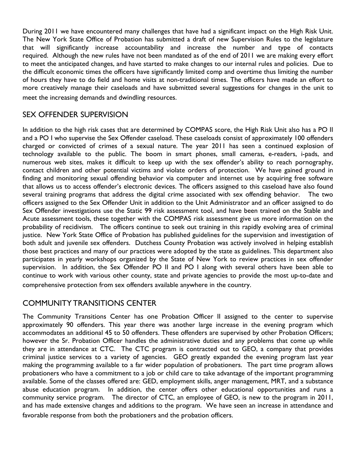During 2011 we have encountered many challenges that have had a significant impact on the High Risk Unit. The New York State Office of Probation has submitted a draft of new Supervision Rules to the legislature that will significantly increase accountability and increase the number and type of contacts required. Although the new rules have not been mandated as of the end of 2011 we are making every effort to meet the anticipated changes, and have started to make changes to our internal rules and policies. Due to the difficult economic times the officers have significantly limited comp and overtime thus limiting the number of hours they have to do field and home visits at non-traditional times. The officers have made an effort to more creatively manage their caseloads and have submitted several suggestions for changes in the unit to meet the increasing demands and dwindling resources.

# SEX OFFENDER SUPERVISION

In addition to the high risk cases that are determined by COMPAS score, the High Risk Unit also has a PO II and a PO I who supervise the Sex Offender caseload. These caseloads consist of approximately 100 offenders charged or convicted of crimes of a sexual nature. The year 2011 has seen a continued explosion of technology available to the public. The boom in smart phones, small cameras, e-readers, i-pads, and numerous web sites, makes it difficult to keep up with the sex offender's ability to reach pornography, contact children and other potential victims and violate orders of protection. We have gained ground in finding and monitoring sexual offending behavior via computer and internet use by acquiring free software that allows us to access offender's electronic devices. The officers assigned to this caseload have also found several training programs that address the digital crime associated with sex offending behavior. The two officers assigned to the Sex Offender Unit in addition to the Unit Administrator and an officer assigned to do Sex Offender investigations use the Static 99 risk assessment tool, and have been trained on the Stable and Acute assessment tools, these together with the COMPAS risk assessment give us more information on the probability of recidivism. The officers continue to seek out training in this rapidly evolving area of criminal justice. New York State Office of Probation has published guidelines for the supervision and investigation of both adult and juvenile sex offenders. Dutchess County Probation was actively involved in helping establish those best practices and many of our practices were adopted by the state as guidelines. This department also participates in yearly workshops organized by the State of New York to review practices in sex offender supervision. In addition, the Sex Offender PO II and PO I along with several others have been able to continue to work with various other county, state and private agencies to provide the most up-to-date and comprehensive protection from sex offenders available anywhere in the country.

# COMMUNITY TRANSITIONS CENTER

The Community Transitions Center has one Probation Officer II assigned to the center to supervise approximately 90 offenders. This year there was another large increase in the evening program which accommodates an additional 45 to 50 offenders. These offenders are supervised by other Probation Officers; however the Sr. Probation Officer handles the administrative duties and any problems that come up while they are in attendance at CTC. The CTC program is contracted out to GEO, a company that provides criminal justice services to a variety of agencies. GEO greatly expanded the evening program last year making the programming available to a far wider population of probationers. The part time program allows probationers who have a commitment to a job or child care to take advantage of the important programming available. Some of the classes offered are: GED, employment skills, anger management, MRT, and a substance abuse education program. In addition, the center offers other educational opportunities and runs a community service program. The director of CTC, an employee of GEO, is new to the program in 2011, and has made extensive changes and additions to the program. We have seen an increase in attendance and favorable response from both the probationers and the probation officers.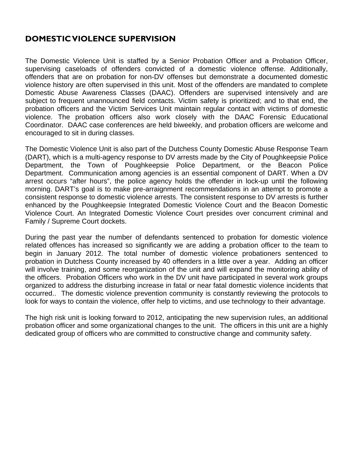# **DOMESTIC VIOLENCE SUPERVISION**

The Domestic Violence Unit is staffed by a Senior Probation Officer and a Probation Officer, supervising caseloads of offenders convicted of a domestic violence offense. Additionally, offenders that are on probation for non-DV offenses but demonstrate a documented domestic violence history are often supervised in this unit. Most of the offenders are mandated to complete Domestic Abuse Awareness Classes (DAAC). Offenders are supervised intensively and are subject to frequent unannounced field contacts. Victim safety is prioritized; and to that end, the probation officers and the Victim Services Unit maintain regular contact with victims of domestic violence. The probation officers also work closely with the DAAC Forensic Educational Coordinator. DAAC case conferences are held biweekly, and probation officers are welcome and encouraged to sit in during classes.

The Domestic Violence Unit is also part of the Dutchess County Domestic Abuse Response Team (DART), which is a multi-agency response to DV arrests made by the City of Poughkeepsie Police Department, the Town of Poughkeepsie Police Department, or the Beacon Police Department. Communication among agencies is an essential component of DART. When a DV arrest occurs "after hours", the police agency holds the offender in lock-up until the following morning. DART's goal is to make pre-arraignment recommendations in an attempt to promote a consistent response to domestic violence arrests. The consistent response to DV arrests is further enhanced by the Poughkeepsie Integrated Domestic Violence Court and the Beacon Domestic Violence Court. An Integrated Domestic Violence Court presides over concurrent criminal and Family / Supreme Court dockets.

During the past year the number of defendants sentenced to probation for domestic violence related offences has increased so significantly we are adding a probation officer to the team to begin in January 2012. The total number of domestic violence probationers sentenced to probation in Dutchess County increased by 40 offenders in a little over a year. Adding an officer will involve training, and some reorganization of the unit and will expand the monitoring ability of the officers. Probation Officers who work in the DV unit have participated in several work groups organized to address the disturbing increase in fatal or near fatal domestic violence incidents that occurred.. The domestic violence prevention community is constantly reviewing the protocols to look for ways to contain the violence, offer help to victims, and use technology to their advantage.

The high risk unit is looking forward to 2012, anticipating the new supervision rules, an additional probation officer and some organizational changes to the unit. The officers in this unit are a highly dedicated group of officers who are committed to constructive change and community safety.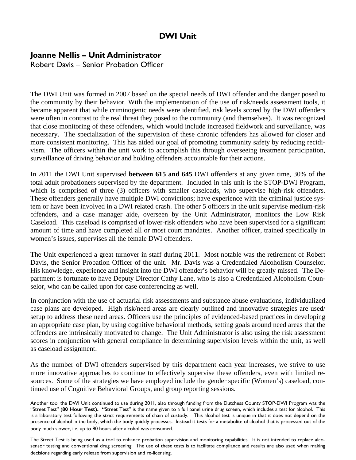# **DWI Unit**

# **Joanne Nellis – Unit Administrator**

Robert Davis – Senior Probation Officer

The DWI Unit was formed in 2007 based on the special needs of DWI offender and the danger posed to the community by their behavior. With the implementation of the use of risk/needs assessment tools, it became apparent that while criminogenic needs were identified, risk levels scored by the DWI offenders were often in contrast to the real threat they posed to the community (and themselves). It was recognized that close monitoring of these offenders, which would include increased fieldwork and surveillance, was necessary. The specialization of the supervision of these chronic offenders has allowed for closer and more consistent monitoring. This has aided our goal of promoting community safety by reducing recidivism. The officers within the unit work to accomplish this through overseeing treatment participation, surveillance of driving behavior and holding offenders accountable for their actions.

In 2011 the DWI Unit supervised **between 615 and 645** DWI offenders at any given time, 30% of the total adult probationers supervised by the department. Included in this unit is the STOP-DWI Program, which is comprised of three (3) officers with smaller caseloads, who supervise high-risk offenders. These offenders generally have multiple DWI convictions; have experience with the criminal justice system or have been involved in a DWI related crash. The other 5 officers in the unit supervise medium-risk offenders, and a case manager aide, overseen by the Unit Administrator, monitors the Low Risk Caseload. This caseload is comprised of lower-risk offenders who have been supervised for a significant amount of time and have completed all or most court mandates. Another officer, trained specifically in women's issues, supervises all the female DWI offenders.

The Unit experienced a great turnover in staff during 2011. Most notable was the retirement of Robert Davis, the Senior Probation Officer of the unit. Mr. Davis was a Credentialed Alcoholism Counselor. His knowledge, experience and insight into the DWI offender's behavior will be greatly missed. The Department is fortunate to have Deputy Director Cathy Lane, who is also a Credentialed Alcoholism Counselor, who can be called upon for case conferencing as well.

In conjunction with the use of actuarial risk assessments and substance abuse evaluations, individualized case plans are developed. High risk/need areas are clearly outlined and innovative strategies are used/ setup to address these need areas. Officers use the principles of evidenced-based practices in developing an appropriate case plan, by using cognitive behavioral methods, setting goals around need areas that the offenders are intrinsically motivated to change. The Unit Administrator is also using the risk assessment scores in conjunction with general compliance in determining supervision levels within the unit, as well as caseload assignment.

As the number of DWI offenders supervised by this department each year increases, we strive to use more innovative approaches to continue to effectively supervise these offenders, even with limited resources. Some of the strategies we have employed include the gender specific (Women's) caseload, continued use of Cognitive Behavioral Groups, and group reporting sessions.

Another tool the DWI Unit continued to use during 2011, also through funding from the Dutchess County STOP-DWI Program was the "Street Test" (**80 Hour Test). "**Street Test" is the name given to a full panel urine drug screen, which includes a test for alcohol. This is a laboratory test following the strict requirements of chain of custody. This alcohol test is unique in that it does not depend on the presence of alcohol in the body, which the body quickly processes. Instead it tests for a metabolite of alcohol that is processed out of the body much slower, i.e. up to 80 hours after alcohol was consumed.

The Street Test is being used as a tool to enhance probation supervision and monitoring capabilities. It is not intended to replace alcosensor testing and conventional drug screening. The use of these tests is to facilitate compliance and results are also used when making decisions regarding early release from supervision and re-licensing.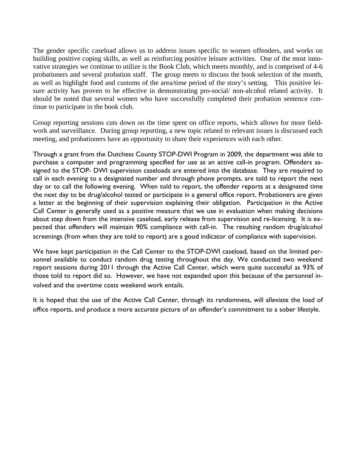The gender specific caseload allows us to address issues specific to women offenders, and works on building positive coping skills, as well as reinforcing positive leisure activities. One of the most innovative strategies we continue to utilize is the Book Club, which meets monthly, and is comprised of 4-6 probationers and several probation staff. The group meets to discuss the book selection of the month, as well as highlight food and customs of the area/time period of the story's setting. This positive leisure activity has proven to be effective in demonstrating pro-social/ non-alcohol related activity. It should be noted that several women who have successfully completed their probation sentence continue to participate in the book club.

Group reporting sessions cuts down on the time spent on office reports, which allows for more fieldwork and surveillance. During group reporting, a new topic related to relevant issues is discussed each meeting, and probationers have an opportunity to share their experiences with each other.

Through a grant from the Dutchess County STOP-DWI Program in 2009, the department was able to purchase a computer and programming specified for use as an active call-in program. Offenders assigned to the STOP- DWI supervision caseloads are entered into the database. They are required to call in each evening to a designated number and through phone prompts, are told to report the next day or to call the following evening. When told to report, the offender reports at a designated time the next day to be drug/alcohol tested or participate in a general office report. Probationers are given a letter at the beginning of their supervision explaining their obligation. Participation in the Active Call Center is generally used as a positive measure that we use in evaluation when making decisions about step down from the intensive caseload, early release from supervision and re-licensing. It is expected that offenders will maintain 90% compliance with call-in. The resulting random drug/alcohol screenings (from when they are told to report) are a good indicator of compliance with supervision.

We have kept participation in the Call Center to the STOP-DWI caseload, based on the limited personnel available to conduct random drug testing throughout the day. We conducted two weekend report sessions during 2011 through the Active Call Center, which were quite successful as 93% of those told to report did so. However, we have not expanded upon this because of the personnel involved and the overtime costs weekend work entails.

It is hoped that the use of the Active Call Center, through its randomness, will alleviate the load of office reports, and produce a more accurate picture of an offender's commitment to a sober lifestyle.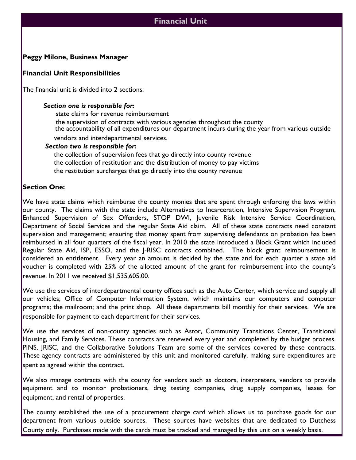## **Financial Unit**

### **Peggy Milone, Business Manager**

### **Financial Unit Responsibilities**

The financial unit is divided into 2 sections:

### *Section one is responsible for:*

state claims for revenue reimbursement the supervision of contracts with various agencies throughout the county the accountability of all expenditures our department incurs during the year from various outside

vendors and interdepartmental services.

### *Section two is responsible for:*

the collection of supervision fees that go directly into county revenue the collection of restitution and the distribution of money to pay victims the restitution surcharges that go directly into the county revenue

### **Section One:**

We have state claims which reimburse the county monies that are spent through enforcing the laws within our county. The claims with the state include Alternatives to Incarceration, Intensive Supervision Program, Enhanced Supervision of Sex Offenders, STOP DWI, Juvenile Risk Intensive Service Coordination, Department of Social Services and the regular State Aid claim. All of these state contracts need constant supervision and management; ensuring that money spent from supervising defendants on probation has been reimbursed in all four quarters of the fiscal year. In 2010 the state introduced a Block Grant which included Regular State Aid, ISP, ESSO, and the J-RISC contracts combined. The block grant reimbursement is considered an entitlement. Every year an amount is decided by the state and for each quarter a state aid voucher is completed with 25% of the allotted amount of the grant for reimbursement into the county's revenue. In 2011 we received \$1,535,605.00.

We use the services of interdepartmental county offices such as the Auto Center, which service and supply all our vehicles; Office of Computer Information System, which maintains our computers and computer programs; the mailroom; and the print shop. All these departments bill monthly for their services. We are responsible for payment to each department for their services.

We use the services of non-county agencies such as Astor, Community Transitions Center, Transitional Housing, and Family Services. These contracts are renewed every year and completed by the budget process. PINS, JRISC, and the Collaborative Solutions Team are some of the services covered by these contracts. These agency contracts are administered by this unit and monitored carefully, making sure expenditures are spent as agreed within the contract.

We also manage contracts with the county for vendors such as doctors, interpreters, vendors to provide equipment and to monitor probationers, drug testing companies, drug supply companies, leases for equipment, and rental of properties.

The county established the use of a procurement charge card which allows us to purchase goods for our department from various outside sources. These sources have websites that are dedicated to Dutchess County only. Purchases made with the cards must be tracked and managed by this unit on a weekly basis.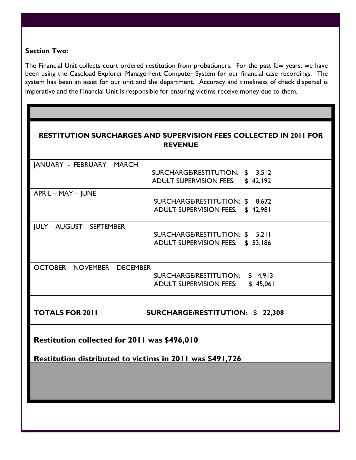### **Section Two:**

The Financial Unit collects court ordered restitution from probationers. For the past few years, we have been using the Caseload Explorer Management Computer System for our financial case recordings. The system has been an asset for our unit and the department. Accuracy and timeliness of check dispersal is imperative and the Financial Unit is responsible for ensuring victims receive money due to them.

| <b>RESTITUTION SURCHARGES AND SUPERVISION FEES COLLECTED IN 2011 FOR</b><br><b>REVENUE</b> |                                                                     |  |  |  |
|--------------------------------------------------------------------------------------------|---------------------------------------------------------------------|--|--|--|
| JANUARY - FEBRUARY – MARCH                                                                 |                                                                     |  |  |  |
|                                                                                            | SURCHARGE/RESTITUTION: \$ 3,512<br>ADULT SUPERVISION FEES: \$42,192 |  |  |  |
| APRIL - MAY - JUNE                                                                         |                                                                     |  |  |  |
|                                                                                            | SURCHARGE/RESTITUTION: \$ 8,672<br>ADULT SUPERVISION FEES: \$42,981 |  |  |  |
| <b>JULY - AUGUST - SEPTEMBER</b>                                                           |                                                                     |  |  |  |
|                                                                                            | SURCHARGE/RESTITUTION: \$ 5,211<br>ADULT SUPERVISION FEES: \$53,186 |  |  |  |
| <b>OCTOBER - NOVEMBER - DECEMBER</b>                                                       |                                                                     |  |  |  |
|                                                                                            | SURCHARGE/RESTITUTION: \$4,913                                      |  |  |  |
|                                                                                            | \$45,061<br><b>ADULT SUPERVISION FEES:</b>                          |  |  |  |
| <b>TOTALS FOR 2011</b>                                                                     | <b>SURCHARGE/RESTITUTION: \$22,308</b>                              |  |  |  |
| Restitution collected for 2011 was \$496,010                                               |                                                                     |  |  |  |
| Restitution distributed to victims in 2011 was \$491,726                                   |                                                                     |  |  |  |
|                                                                                            |                                                                     |  |  |  |
|                                                                                            |                                                                     |  |  |  |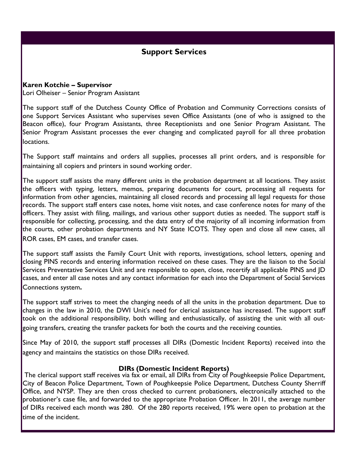# **Support Services**

### **Karen Kotchie – Supervisor**

Lori Olheiser – Senior Program Assistant

The support staff of the Dutchess County Office of Probation and Community Corrections consists of one Support Services Assistant who supervises seven Office Assistants (one of who is assigned to the Beacon office), four Program Assistants, three Receptionists and one Senior Program Assistant. The Senior Program Assistant processes the ever changing and complicated payroll for all three probation locations.

The Support staff maintains and orders all supplies, processes all print orders, and is responsible for maintaining all copiers and printers in sound working order.

The support staff assists the many different units in the probation department at all locations. They assist the officers with typing, letters, memos, preparing documents for court, processing all requests for information from other agencies, maintaining all closed records and processing all legal requests for those records. The support staff enters case notes, home visit notes, and case conference notes for many of the officers. They assist with filing, mailings, and various other support duties as needed. The support staff is responsible for collecting, processing, and the data entry of the majority of all incoming information from the courts, other probation departments and NY State ICOTS. They open and close all new cases, all ROR cases, EM cases, and transfer cases.

The support staff assists the Family Court Unit with reports, investigations, school letters, opening and closing PINS records and entering information received on these cases. They are the liaison to the Social Services Preventative Services Unit and are responsible to open, close, recertify all applicable PINS and JD cases, and enter all case notes and any contact information for each into the Department of Social Services Connections system**.**

The support staff strives to meet the changing needs of all the units in the probation department. Due to changes in the law in 2010, the DWI Unit's need for clerical assistance has increased. The support staff took on the additional responsibility, both willing and enthusiastically, of assisting the unit with all outgoing transfers, creating the transfer packets for both the courts and the receiving counties.

Since May of 2010, the support staff processes all DIRs (Domestic Incident Reports) received into the agency and maintains the statistics on those DIRs received.

### **DIRs (Domestic Incident Reports)**

 The clerical support staff receives via fax or email, all DIRs from City of Poughkeepsie Police Department, City of Beacon Police Department, Town of Poughkeepsie Police Department, Dutchess County Sherriff Office, and NYSP. They are then cross checked to current probationers, electronically attached to the probationer's case file, and forwarded to the appropriate Probation Officer. In 2011, the average number of DIRs received each month was 280. Of the 280 reports received, 19% were open to probation at the time of the incident.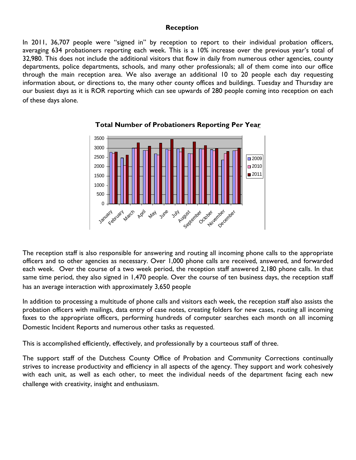### **Reception**

In 2011, 36,707 people were "signed in" by reception to report to their individual probation officers, averaging 634 probationers reporting each week. This is a 10% increase over the previous year's total of 32,980. This does not include the additional visitors that flow in daily from numerous other agencies, county departments, police departments, schools, and many other professionals; all of them come into our office through the main reception area. We also average an additional 10 to 20 people each day requesting information about, or directions to, the many other county offices and buildings. Tuesday and Thursday are our busiest days as it is ROR reporting which can see upwards of 280 people coming into reception on each of these days alone.



**Total Number of Probationers Reporting Per Year**

The reception staff is also responsible for answering and routing all incoming phone calls to the appropriate officers and to other agencies as necessary. Over 1,000 phone calls are received, answered, and forwarded each week. Over the course of a two week period, the reception staff answered 2,180 phone calls. In that same time period, they also signed in 1,470 people. Over the course of ten business days, the reception staff has an average interaction with approximately 3,650 people

In addition to processing a multitude of phone calls and visitors each week, the reception staff also assists the probation officers with mailings, data entry of case notes, creating folders for new cases, routing all incoming faxes to the appropriate officers, performing hundreds of computer searches each month on all incoming Domestic Incident Reports and numerous other tasks as requested.

This is accomplished efficiently, effectively, and professionally by a courteous staff of three.

The support staff of the Dutchess County Office of Probation and Community Corrections continually strives to increase productivity and efficiency in all aspects of the agency. They support and work cohesively with each unit, as well as each other, to meet the individual needs of the department facing each new challenge with creativity, insight and enthusiasm.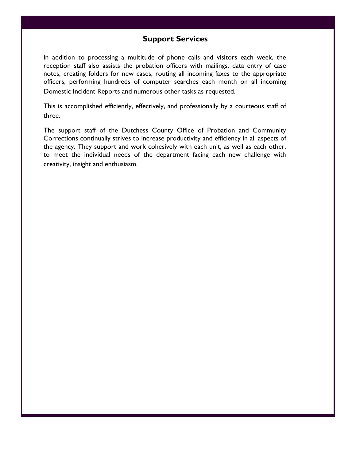## **Support Services**

In addition to processing a multitude of phone calls and visitors each week, the reception staff also assists the probation officers with mailings, data entry of case notes, creating folders for new cases, routing all incoming faxes to the appropriate officers, performing hundreds of computer searches each month on all incoming Domestic Incident Reports and numerous other tasks as requested.

This is accomplished efficiently, effectively, and professionally by a courteous staff of three.

The support staff of the Dutchess County Office of Probation and Community Corrections continually strives to increase productivity and efficiency in all aspects of the agency. They support and work cohesively with each unit, as well as each other, to meet the individual needs of the department facing each new challenge with creativity, insight and enthusiasm.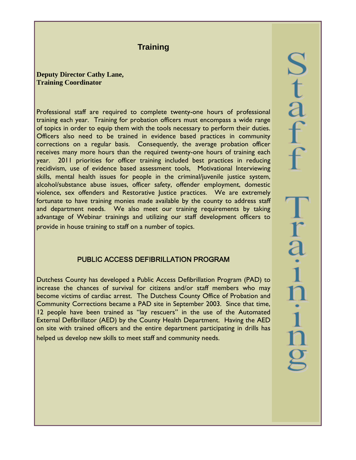# **Training**

**Deputy Director Cathy Lane, Training Coordinator** 

Professional staff are required to complete twenty-one hours of professional training each year. Training for probation officers must encompass a wide range of topics in order to equip them with the tools necessary to perform their duties. Officers also need to be trained in evidence based practices in community corrections on a regular basis. Consequently, the average probation officer receives many more hours than the required twenty-one hours of training each year. 2011 priorities for officer training included best practices in reducing recidivism, use of evidence based assessment tools, Motivational Interviewing skills, mental health issues for people in the criminal/juvenile justice system, alcohol/substance abuse issues, officer safety, offender employment, domestic violence, sex offenders and Restorative Justice practices. We are extremely fortunate to have training monies made available by the county to address staff and department needs. We also meet our training requirements by taking advantage of Webinar trainings and utilizing our staff development officers to provide in house training to staff on a number of topics.

### PUBLIC ACCESS DEFIBRILLATION PROGRAM

Dutchess County has developed a Public Access Defibrillation Program (PAD) to increase the chances of survival for citizens and/or staff members who may become victims of cardiac arrest. The Dutchess County Office of Probation and Community Corrections became a PAD site in September 2003. Since that time, 12 people have been trained as "lay rescuers" in the use of the Automated External Defibrillator (AED) by the County Health Department. Having the AED on site with trained officers and the entire department participating in drills has helped us develop new skills to meet staff and community needs.